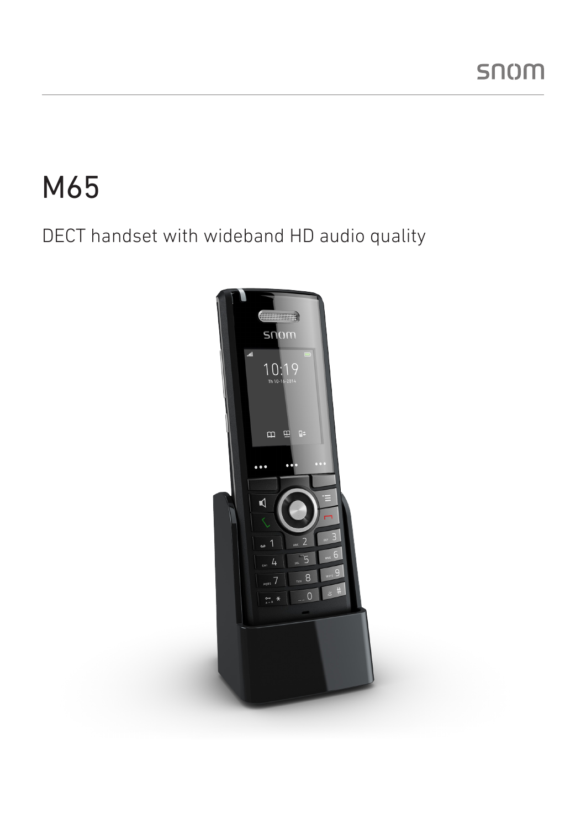# M65

### DECT handset with wideband HD audio quality

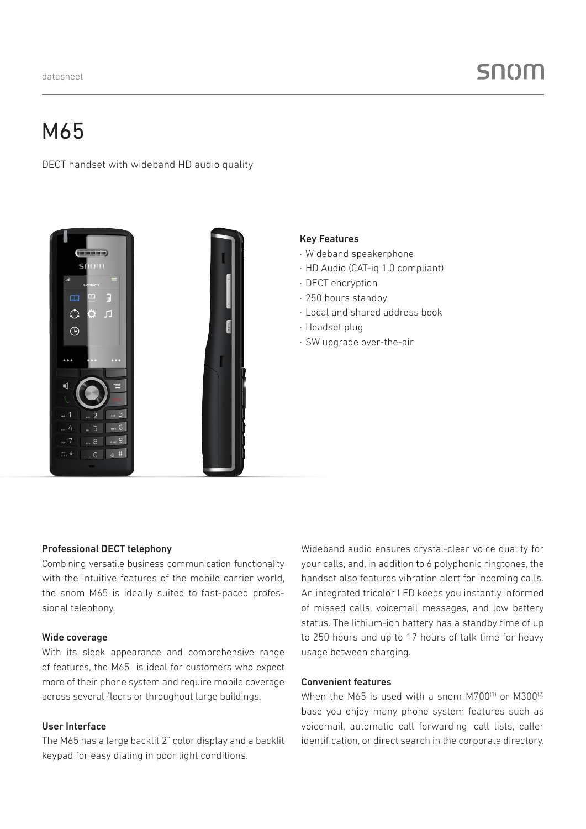## M65

DECT handset with wideband HD audio quality



#### Key Features

- · Wideband speakerphone
- · HD Audio (CAT-iq 1.0 compliant)
- · DECT encryption
- · 250 hours standby
- · Local and shared address book
- · Headset plug
- · SW upgrade over-the-air

#### Professional DECT telephony

Combining versatile business communication functionality with the intuitive features of the mobile carrier world. the snom M65 is ideally suited to fast-paced professional telephony.

#### Wide coverage

With its sleek appearance and comprehensive range of features, the M65 is ideal for customers who expect more of their phone system and require mobile coverage across several floors or throughout large buildings.

#### User Interface

The M65 has a large backlit 2" color display and a backlit keypad for easy dialing in poor light conditions.

Wideband audio ensures crystal-clear voice quality for your calls, and, in addition to 6 polyphonic ringtones, the handset also features vibration alert for incoming calls. An integrated tricolor LED keeps you instantly informed of missed calls, voicemail messages, and low battery status. The lithium-ion battery has a standby time of up to 250 hours and up to 17 hours of talk time for heavy usage between charging.

#### Convenient features

When the M65 is used with a snom  $M700^{(1)}$  or  $M300^{(2)}$ base you enjoy many phone system features such as voicemail, automatic call forwarding, call lists, caller identification, or direct search in the corporate directory.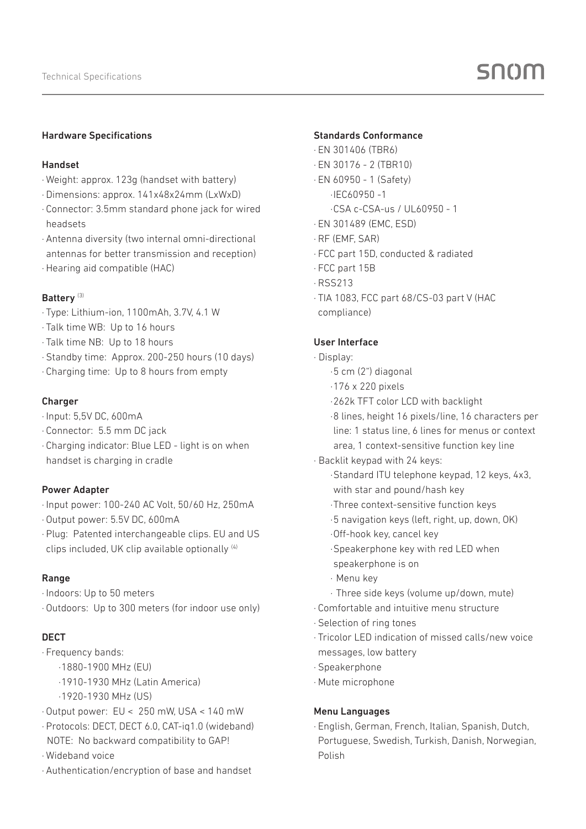#### Hardware Specifications

#### Handset

- · Weight: approx. 123g (handset with battery)
- · Dimensions: approx. 141x48x24mm (LxWxD)
- · Connector: 3.5mm standard phone jack for wired headsets
- · Antenna diversity (two internal omni-directional antennas for better transmission and reception)
- · Hearing aid compatible (HAC)

#### Battery<sup>(3)</sup>

- · Type: Lithium-ion, 1100mAh, 3.7V, 4.1 W
- · Talk time WB: Up to 16 hours
- · Talk time NB: Up to 18 hours
- · Standby time: Approx. 200-250 hours (10 days)
- · Charging time: Up to 8 hours from empty

#### Charger

- · Input: 5,5V DC, 600mA
- · Connector: 5.5 mm DC jack
- · Charging indicator: Blue LED light is on when handset is charging in cradle

#### Power Adapter

- · Input power: 100-240 AC Volt, 50/60 Hz, 250mA
- · Output power: 5.5V DC, 600mA
- · Plug: Patented interchangeable clips. EU and US clips included, UK clip available optionally (4)

#### Range

- · Indoors: Up to 50 meters
- · Outdoors: Up to 300 meters (for indoor use only)

#### DECT

- · Frequency bands:
	- ·1880-1900 MHz (EU)
	- ·1910-1930 MHz (Latin America)
	- ·1920-1930 MHz (US)
- · Output power: EU < 250 mW, USA < 140 mW
- · Protocols: DECT, DECT 6.0, CAT-iq1.0 (wideband) NOTE: No backward compatibility to GAP!
- · Wideband voice
- · Authentication/encryption of base and handset

#### Standards Conformance

- · EN 301406 (TBR6)
- · EN 30176 2 (TBR10)
- · EN 60950 1 (Safety)
	- ·IEC60950 -1
	- ·CSA c-CSA-us / UL60950 1
- · EN 301489 (EMC, ESD)
- · RF (EMF, SAR)
- · FCC part 15D, conducted & radiated
- · FCC part 15B
- · RSS213
- · TIA 1083, FCC part 68/CS-03 part V (HAC compliance)

#### User Interface

#### · Display:

- ·5 cm (2") diagonal
- ·176 x 220 pixels
- ·262k TFT color LCD with backlight

 ·8 lines, height 16 pixels/line, 16 characters per line: 1 status line, 6 lines for menus or context

- area, 1 context-sensitive function key line
- · Backlit keypad with 24 keys:
	- ·Standard ITU telephone keypad, 12 keys, 4x3, with star and pound/hash key
	- ·Three context-sensitive function keys
	- ·5 navigation keys (left, right, up, down, OK)
	- ·Off-hook key, cancel key
	- ·Speakerphone key with red LED when speakerphone is on
	- · Menu key
	- · Three side keys (volume up/down, mute)
- · Comfortable and intuitive menu structure
- · Selection of ring tones
- · Tricolor LED indication of missed calls/new voice messages, low battery
- · Speakerphone
- · Mute microphone

#### Menu Languages

· English, German, French, Italian, Spanish, Dutch, Portuguese, Swedish, Turkish, Danish, Norwegian, Polish